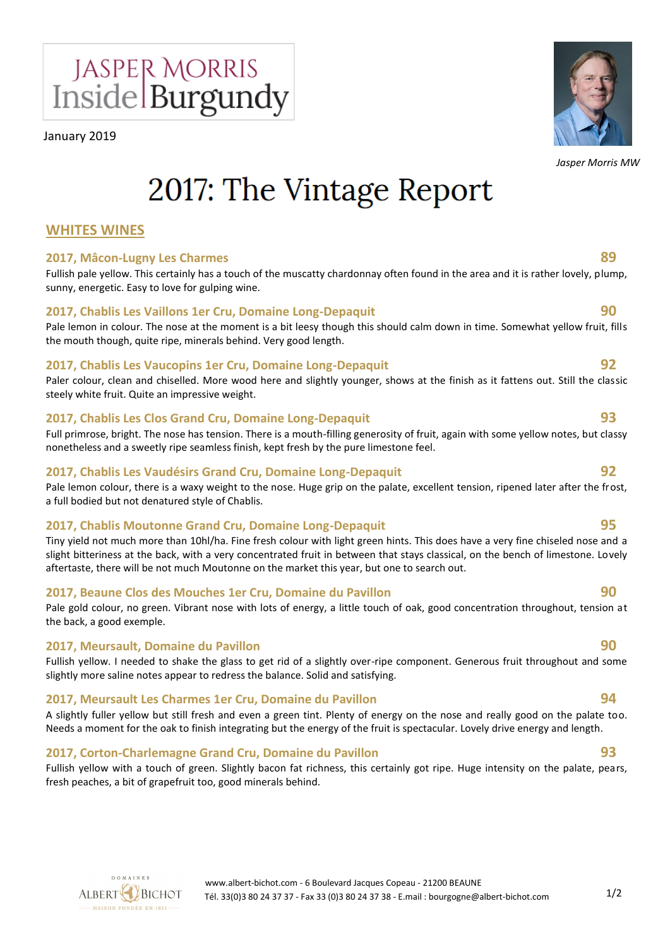# JASPER MORRIS<br>Inside Burgundy

January 2019

*Jasper Morris MW*

## 2017: The Vintage Report

## **WHITES WINES**

#### **2017, Mâcon-Lugny Les Charmes 89**

Fullish pale yellow. This certainly has a touch of the muscatty chardonnay often found in the area and it is rather lovely, plump, sunny, energetic. Easy to love for gulping wine.

## **2017, Chablis Les Vaillons 1er Cru, Domaine Long-Depaquit 90**

Pale lemon in colour. The nose at the moment is a bit leesy though this should calm down in time. Somewhat yellow fruit, fills the mouth though, quite ripe, minerals behind. Very good length.

## **2017, Chablis Les Vaucopins 1er Cru, Domaine Long-Depaquit 92**

Paler colour, clean and chiselled. More wood here and slightly younger, shows at the finish as it fattens out. Still the classic steely white fruit. Quite an impressive weight.

### **2017, Chablis Les Clos Grand Cru, Domaine Long-Depaquit 93**

Full primrose, bright. The nose has tension. There is a mouth-filling generosity of fruit, again with some yellow notes, but classy nonetheless and a sweetly ripe seamless finish, kept fresh by the pure limestone feel.

#### **2017, Chablis Les Vaudésirs Grand Cru, Domaine Long-Depaquit 92**

Pale lemon colour, there is a waxy weight to the nose. Huge grip on the palate, excellent tension, ripened later after the frost, a full bodied but not denatured style of Chablis.

### **2017, Chablis Moutonne Grand Cru, Domaine Long-Depaquit 95**

Tiny yield not much more than 10hl/ha. Fine fresh colour with light green hints. This does have a very fine chiseled nose and a slight bitteriness at the back, with a very concentrated fruit in between that stays classical, on the bench of limestone. Lovely aftertaste, there will be not much Moutonne on the market this year, but one to search out.

### **2017, Beaune Clos des Mouches 1er Cru, Domaine du Pavillon 90**

Pale gold colour, no green. Vibrant nose with lots of energy, a little touch of oak, good concentration throughout, tension at the back, a good exemple.

### **2017, Meursault, Domaine du Pavillon 90**

Fullish yellow. I needed to shake the glass to get rid of a slightly over-ripe component. Generous fruit throughout and some slightly more saline notes appear to redress the balance. Solid and satisfying.

### **2017, Meursault Les Charmes 1er Cru, Domaine du Pavillon 94**

A slightly fuller yellow but still fresh and even a green tint. Plenty of energy on the nose and really good on the palate too. Needs a moment for the oak to finish integrating but the energy of the fruit is spectacular. Lovely drive energy and length.

### **2017, Corton-Charlemagne Grand Cru, Domaine du Pavillon 93**

Fullish yellow with a touch of green. Slightly bacon fat richness, this certainly got ripe. Huge intensity on the palate, pears, fresh peaches, a bit of grapefruit too, good minerals behind.



### 1/2